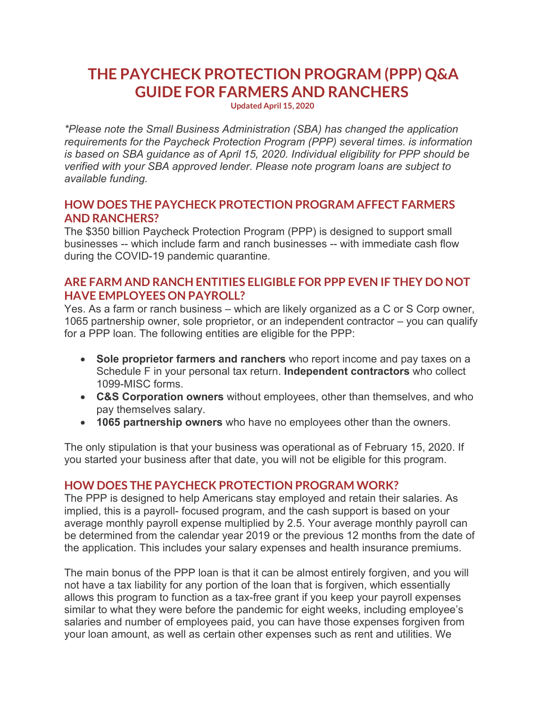# **THE PAYCHECK PROTECTION PROGRAM (PPP) Q&A GUIDE FOR FARMERS AND RANCHERS**

**Updated April 15, 2020**

*\*Please note the Small Business Administration (SBA) has changed the application requirements for the Paycheck Protection Program (PPP) several times. is information is based on SBA guidance as of April 15, 2020. Individual eligibility for PPP should be verified with your SBA approved lender. Please note program loans are subject to available funding.* 

### **HOW DOES THE PAYCHECK PROTECTION PROGRAM AFFECT FARMERS AND RANCHERS?**

The \$350 billion Paycheck Protection Program (PPP) is designed to support small businesses -- which include farm and ranch businesses -- with immediate cash flow during the COVID-19 pandemic quarantine.

### **ARE FARM AND RANCH ENTITIES ELIGIBLE FOR PPP EVEN IF THEY DO NOT HAVE EMPLOYEES ON PAYROLL?**

Yes. As a farm or ranch business – which are likely organized as a C or S Corp owner, 1065 partnership owner, sole proprietor, or an independent contractor – you can qualify for a PPP loan. The following entities are eligible for the PPP:

- **Sole proprietor farmers and ranchers** who report income and pay taxes on a Schedule F in your personal tax return. **Independent contractors** who collect 1099-MISC forms.
- **C&S Corporation owners** without employees, other than themselves, and who pay themselves salary.
- **1065 partnership owners** who have no employees other than the owners.

The only stipulation is that your business was operational as of February 15, 2020. If you started your business after that date, you will not be eligible for this program.

#### **HOW DOES THE PAYCHECK PROTECTION PROGRAM WORK?**

The PPP is designed to help Americans stay employed and retain their salaries. As implied, this is a payroll- focused program, and the cash support is based on your average monthly payroll expense multiplied by 2.5. Your average monthly payroll can be determined from the calendar year 2019 or the previous 12 months from the date of the application. This includes your salary expenses and health insurance premiums.

The main bonus of the PPP loan is that it can be almost entirely forgiven, and you will not have a tax liability for any portion of the loan that is forgiven, which essentially allows this program to function as a tax-free grant if you keep your payroll expenses similar to what they were before the pandemic for eight weeks, including employee's salaries and number of employees paid, you can have those expenses forgiven from your loan amount, as well as certain other expenses such as rent and utilities. We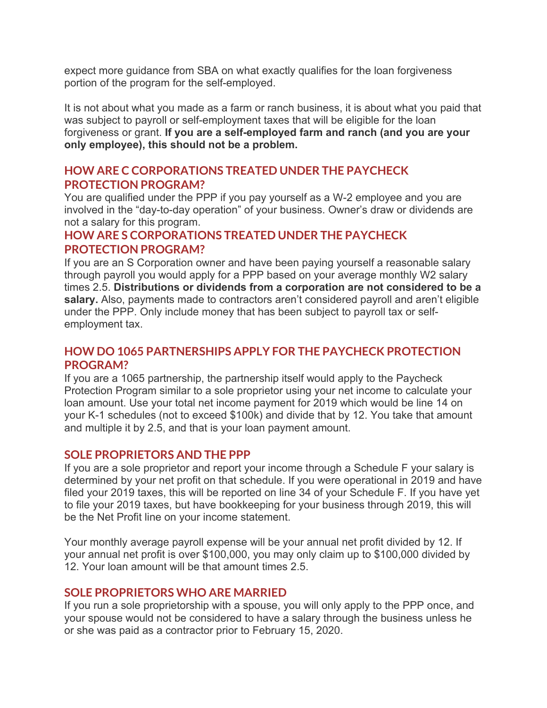expect more guidance from SBA on what exactly qualifies for the loan forgiveness portion of the program for the self-employed.

It is not about what you made as a farm or ranch business, it is about what you paid that was subject to payroll or self-employment taxes that will be eligible for the loan forgiveness or grant. **If you are a self-employed farm and ranch (and you are your only employee), this should not be a problem.** 

### **HOW ARE C CORPORATIONS TREATED UNDER THE PAYCHECK PROTECTION PROGRAM?**

You are qualified under the PPP if you pay yourself as a W-2 employee and you are involved in the "day-to-day operation" of your business. Owner's draw or dividends are not a salary for this program.

# **HOW ARE S CORPORATIONS TREATED UNDER THE PAYCHECK PROTECTION PROGRAM?**

If you are an S Corporation owner and have been paying yourself a reasonable salary through payroll you would apply for a PPP based on your average monthly W2 salary times 2.5. **Distributions or dividends from a corporation are not considered to be a salary.** Also, payments made to contractors aren't considered payroll and aren't eligible under the PPP. Only include money that has been subject to payroll tax or selfemployment tax.

# **HOW DO 1065 PARTNERSHIPS APPLY FOR THE PAYCHECK PROTECTION PROGRAM?**

If you are a 1065 partnership, the partnership itself would apply to the Paycheck Protection Program similar to a sole proprietor using your net income to calculate your loan amount. Use your total net income payment for 2019 which would be line 14 on your K-1 schedules (not to exceed \$100k) and divide that by 12. You take that amount and multiple it by 2.5, and that is your loan payment amount.

#### **SOLE PROPRIETORS AND THE PPP**

If you are a sole proprietor and report your income through a Schedule F your salary is determined by your net profit on that schedule. If you were operational in 2019 and have filed your 2019 taxes, this will be reported on line 34 of your Schedule F. If you have yet to file your 2019 taxes, but have bookkeeping for your business through 2019, this will be the Net Profit line on your income statement.

Your monthly average payroll expense will be your annual net profit divided by 12. If your annual net profit is over \$100,000, you may only claim up to \$100,000 divided by 12. Your loan amount will be that amount times 2.5.

# **SOLE PROPRIETORS WHO ARE MARRIED**

If you run a sole proprietorship with a spouse, you will only apply to the PPP once, and your spouse would not be considered to have a salary through the business unless he or she was paid as a contractor prior to February 15, 2020.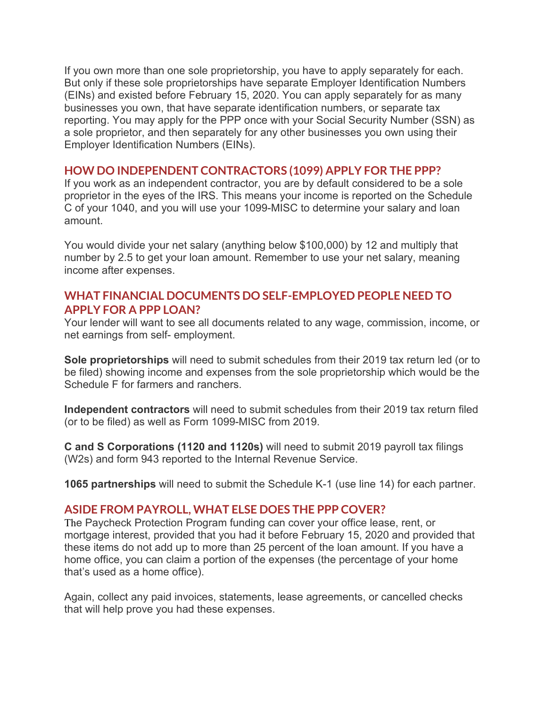If you own more than one sole proprietorship, you have to apply separately for each. But only if these sole proprietorships have separate Employer Identification Numbers (EINs) and existed before February 15, 2020. You can apply separately for as many businesses you own, that have separate identification numbers, or separate tax reporting. You may apply for the PPP once with your Social Security Number (SSN) as a sole proprietor, and then separately for any other businesses you own using their Employer Identification Numbers (EINs).

#### **HOW DO INDEPENDENT CONTRACTORS (1099) APPLY FOR THE PPP?**

If you work as an independent contractor, you are by default considered to be a sole proprietor in the eyes of the IRS. This means your income is reported on the Schedule C of your 1040, and you will use your 1099-MISC to determine your salary and loan amount.

You would divide your net salary (anything below \$100,000) by 12 and multiply that number by 2.5 to get your loan amount. Remember to use your net salary, meaning income after expenses.

### **WHAT FINANCIAL DOCUMENTS DO SELF-EMPLOYED PEOPLE NEED TO APPLY FOR A PPP LOAN?**

Your lender will want to see all documents related to any wage, commission, income, or net earnings from self- employment.

**Sole proprietorships** will need to submit schedules from their 2019 tax return led (or to be filed) showing income and expenses from the sole proprietorship which would be the Schedule F for farmers and ranchers.

**Independent contractors** will need to submit schedules from their 2019 tax return filed (or to be filed) as well as Form 1099-MISC from 2019.

**C and S Corporations (1120 and 1120s)** will need to submit 2019 payroll tax filings (W2s) and form 943 reported to the Internal Revenue Service.

**1065 partnerships** will need to submit the Schedule K-1 (use line 14) for each partner.

#### **ASIDE FROM PAYROLL, WHAT ELSE DOES THE PPP COVER?**

The Paycheck Protection Program funding can cover your office lease, rent, or mortgage interest, provided that you had it before February 15, 2020 and provided that these items do not add up to more than 25 percent of the loan amount. If you have a home office, you can claim a portion of the expenses (the percentage of your home that's used as a home office).

Again, collect any paid invoices, statements, lease agreements, or cancelled checks that will help prove you had these expenses.